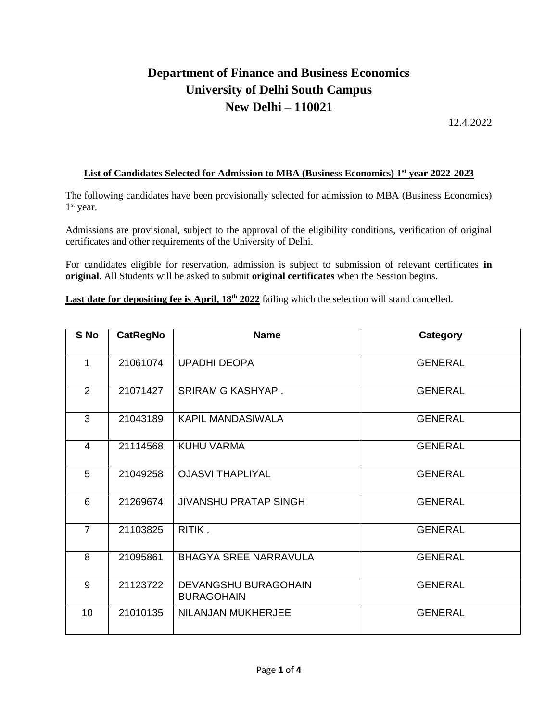## **Department of Finance and Business Economics University of Delhi South Campus New Delhi – 110021**

12.4.2022

## **List of Candidates Selected for Admission to MBA (Business Economics) 1st year 2022-2023**

The following candidates have been provisionally selected for admission to MBA (Business Economics) 1 st year.

Admissions are provisional, subject to the approval of the eligibility conditions, verification of original certificates and other requirements of the University of Delhi.

For candidates eligible for reservation, admission is subject to submission of relevant certificates **in original**. All Students will be asked to submit **original certificates** when the Session begins.

Last date for depositing fee is April,  $18^{th}$  2022 failing which the selection will stand cancelled.

| S No            | <b>CatRegNo</b> | <b>Name</b>                               | Category       |
|-----------------|-----------------|-------------------------------------------|----------------|
| 1               | 21061074        | <b>UPADHI DEOPA</b>                       | <b>GENERAL</b> |
| $\overline{2}$  | 21071427        | <b>SRIRAM G KASHYAP.</b>                  | <b>GENERAL</b> |
| 3               | 21043189        | <b>KAPIL MANDASIWALA</b>                  | <b>GENERAL</b> |
| 4               | 21114568        | <b>KUHU VARMA</b>                         | <b>GENERAL</b> |
| 5               | 21049258        | <b>OJASVI THAPLIYAL</b>                   | <b>GENERAL</b> |
| 6               | 21269674        | <b>JIVANSHU PRATAP SINGH</b>              | <b>GENERAL</b> |
| $\overline{7}$  | 21103825        | RITIK.                                    | <b>GENERAL</b> |
| 8               | 21095861        | <b>BHAGYA SREE NARRAVULA</b>              | <b>GENERAL</b> |
| 9               | 21123722        | DEVANGSHU BURAGOHAIN<br><b>BURAGOHAIN</b> | <b>GENERAL</b> |
| 10 <sup>°</sup> | 21010135        | NILANJAN MUKHERJEE                        | <b>GENERAL</b> |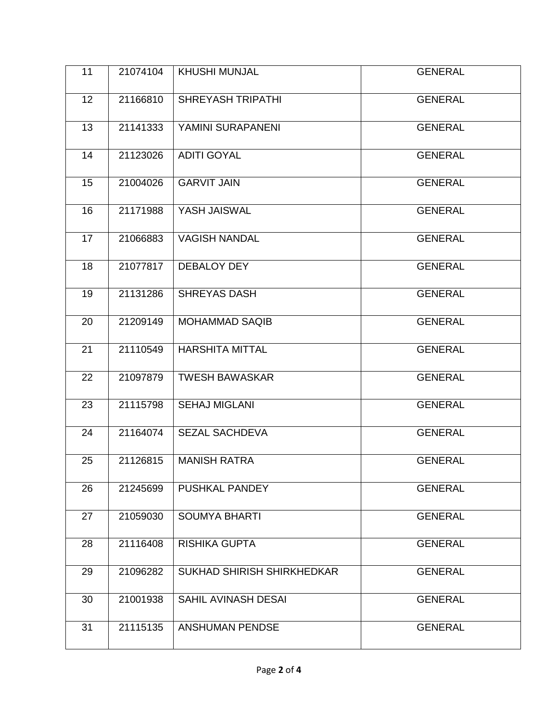| 11 | 21074104 | <b>KHUSHI MUNJAL</b>       | <b>GENERAL</b> |
|----|----------|----------------------------|----------------|
| 12 | 21166810 | <b>SHREYASH TRIPATHI</b>   | <b>GENERAL</b> |
| 13 | 21141333 | YAMINI SURAPANENI          | <b>GENERAL</b> |
| 14 | 21123026 | <b>ADITI GOYAL</b>         | <b>GENERAL</b> |
| 15 | 21004026 | <b>GARVIT JAIN</b>         | <b>GENERAL</b> |
| 16 | 21171988 | YASH JAISWAL               | <b>GENERAL</b> |
| 17 | 21066883 | <b>VAGISH NANDAL</b>       | <b>GENERAL</b> |
| 18 | 21077817 | DEBALOY DEY                | <b>GENERAL</b> |
| 19 | 21131286 | <b>SHREYAS DASH</b>        | <b>GENERAL</b> |
| 20 | 21209149 | <b>MOHAMMAD SAQIB</b>      | <b>GENERAL</b> |
| 21 | 21110549 | <b>HARSHITA MITTAL</b>     | <b>GENERAL</b> |
| 22 | 21097879 | <b>TWESH BAWASKAR</b>      | <b>GENERAL</b> |
| 23 | 21115798 | <b>SEHAJ MIGLANI</b>       | <b>GENERAL</b> |
| 24 | 21164074 | <b>SEZAL SACHDEVA</b>      | <b>GENERAL</b> |
| 25 | 21126815 | <b>MANISH RATRA</b>        | <b>GENERAL</b> |
| 26 | 21245699 | PUSHKAL PANDEY             | <b>GENERAL</b> |
| 27 | 21059030 | <b>SOUMYA BHARTI</b>       | <b>GENERAL</b> |
| 28 | 21116408 | <b>RISHIKA GUPTA</b>       | <b>GENERAL</b> |
| 29 | 21096282 | SUKHAD SHIRISH SHIRKHEDKAR | <b>GENERAL</b> |
| 30 | 21001938 | <b>SAHIL AVINASH DESAI</b> | <b>GENERAL</b> |
| 31 | 21115135 | <b>ANSHUMAN PENDSE</b>     | <b>GENERAL</b> |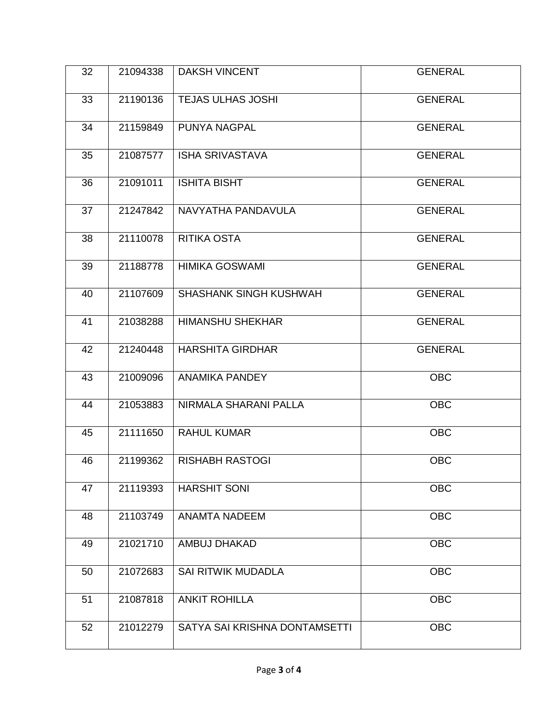| 32 | 21094338 | <b>DAKSH VINCENT</b>          | <b>GENERAL</b> |
|----|----------|-------------------------------|----------------|
| 33 | 21190136 | <b>TEJAS ULHAS JOSHI</b>      | <b>GENERAL</b> |
| 34 | 21159849 | <b>PUNYA NAGPAL</b>           | <b>GENERAL</b> |
| 35 | 21087577 | <b>ISHA SRIVASTAVA</b>        | <b>GENERAL</b> |
| 36 | 21091011 | <b>ISHITA BISHT</b>           | <b>GENERAL</b> |
| 37 | 21247842 | NAVYATHA PANDAVULA            | <b>GENERAL</b> |
| 38 | 21110078 | <b>RITIKA OSTA</b>            | <b>GENERAL</b> |
| 39 | 21188778 | <b>HIMIKA GOSWAMI</b>         | <b>GENERAL</b> |
| 40 | 21107609 | <b>SHASHANK SINGH KUSHWAH</b> | <b>GENERAL</b> |
| 41 | 21038288 | <b>HIMANSHU SHEKHAR</b>       | <b>GENERAL</b> |
| 42 | 21240448 | <b>HARSHITA GIRDHAR</b>       | <b>GENERAL</b> |
| 43 | 21009096 | ANAMIKA PANDEY                | <b>OBC</b>     |
| 44 | 21053883 | NIRMALA SHARANI PALLA         | <b>OBC</b>     |
| 45 | 21111650 | <b>RAHUL KUMAR</b>            | <b>OBC</b>     |
| 46 | 21199362 | <b>RISHABH RASTOGI</b>        | <b>OBC</b>     |
| 47 | 21119393 | <b>HARSHIT SONI</b>           | <b>OBC</b>     |
| 48 | 21103749 | <b>ANAMTA NADEEM</b>          | <b>OBC</b>     |
| 49 | 21021710 | AMBUJ DHAKAD                  | <b>OBC</b>     |
| 50 | 21072683 | <b>SAI RITWIK MUDADLA</b>     | <b>OBC</b>     |
| 51 | 21087818 | <b>ANKIT ROHILLA</b>          | <b>OBC</b>     |
| 52 | 21012279 | SATYA SAI KRISHNA DONTAMSETTI | <b>OBC</b>     |